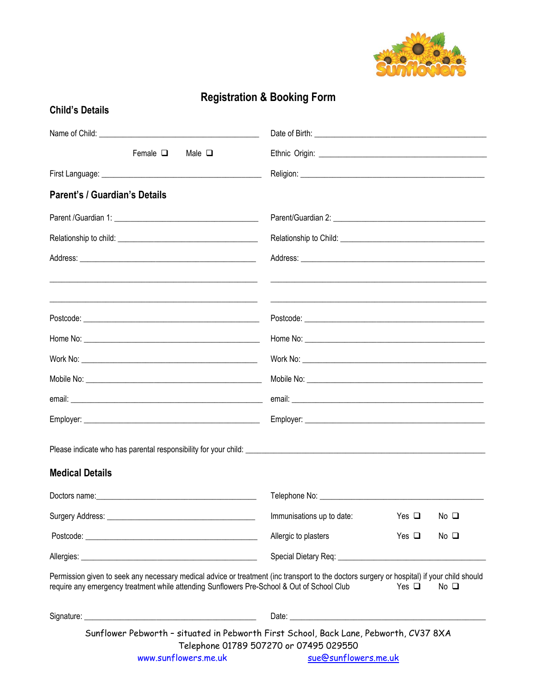

## **Registration & Booking Form**

| <b>Child's Details</b>                                                                                                                                                                                                                                                |                                        |            |                |  |  |
|-----------------------------------------------------------------------------------------------------------------------------------------------------------------------------------------------------------------------------------------------------------------------|----------------------------------------|------------|----------------|--|--|
|                                                                                                                                                                                                                                                                       |                                        |            |                |  |  |
| Female $\Box$<br>Male $\Box$                                                                                                                                                                                                                                          |                                        |            |                |  |  |
|                                                                                                                                                                                                                                                                       |                                        |            |                |  |  |
| Parent's / Guardian's Details                                                                                                                                                                                                                                         |                                        |            |                |  |  |
|                                                                                                                                                                                                                                                                       |                                        |            |                |  |  |
|                                                                                                                                                                                                                                                                       |                                        |            |                |  |  |
| <u> 1989 - Johann Harry Harry Harry Harry Harry Harry Harry Harry Harry Harry Harry Harry Harry Harry Harry Harry</u>                                                                                                                                                 |                                        |            |                |  |  |
|                                                                                                                                                                                                                                                                       |                                        |            |                |  |  |
|                                                                                                                                                                                                                                                                       |                                        |            |                |  |  |
|                                                                                                                                                                                                                                                                       |                                        |            |                |  |  |
|                                                                                                                                                                                                                                                                       |                                        |            |                |  |  |
|                                                                                                                                                                                                                                                                       |                                        |            |                |  |  |
|                                                                                                                                                                                                                                                                       |                                        |            |                |  |  |
|                                                                                                                                                                                                                                                                       |                                        |            |                |  |  |
| <b>Medical Details</b>                                                                                                                                                                                                                                                |                                        |            |                |  |  |
|                                                                                                                                                                                                                                                                       | Telephone No: ________________         |            |                |  |  |
|                                                                                                                                                                                                                                                                       | Immunisations up to date:              | Yes $\Box$ | No $\Box$      |  |  |
|                                                                                                                                                                                                                                                                       | Allergic to plasters                   | Yes $\Box$ | $No$ $\square$ |  |  |
|                                                                                                                                                                                                                                                                       |                                        |            |                |  |  |
| Permission given to seek any necessary medical advice or treatment (inc transport to the doctors surgery or hospital) if your child should<br>require any emergency treatment while attending Sunflowers Pre-School & Out of School Club<br>Yes $\Box$<br>$No$ $\Box$ |                                        |            |                |  |  |
|                                                                                                                                                                                                                                                                       |                                        |            |                |  |  |
| Sunflower Pebworth - situated in Pebworth First School, Back Lane, Pebworth, CV37 8XA<br>www.sunflowers.me.uk sue@sunflowers.me.uk                                                                                                                                    | Telephone 01789 507270 or 07495 029550 |            |                |  |  |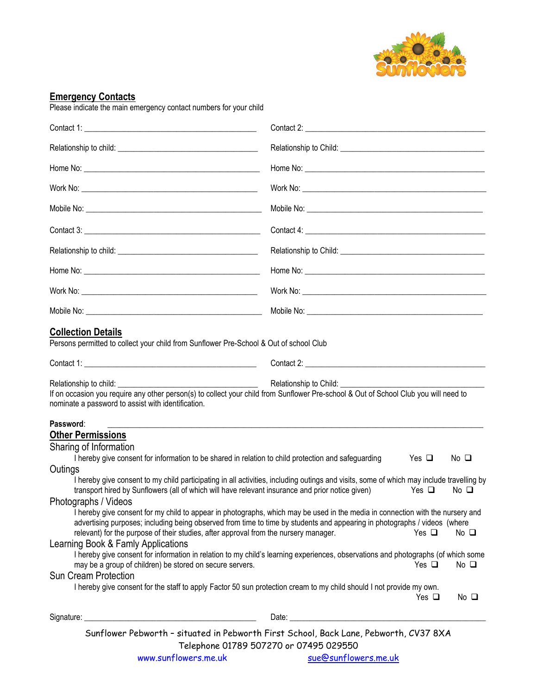

## **Emergency Contacts**

Please indicate the main emergency contact numbers for your child

| <b>Collection Details</b><br>Persons permitted to collect your child from Sunflower Pre-School & Out of school Club                                                                                                                                                                                                                                                                                                                                                                                                                                                                                                                                                                                                                                                                                                                                                                                                                                                                                                                                                                                                                                                                                                                                                                                                                                                                                                                                     |  |  |  |  |  |
|---------------------------------------------------------------------------------------------------------------------------------------------------------------------------------------------------------------------------------------------------------------------------------------------------------------------------------------------------------------------------------------------------------------------------------------------------------------------------------------------------------------------------------------------------------------------------------------------------------------------------------------------------------------------------------------------------------------------------------------------------------------------------------------------------------------------------------------------------------------------------------------------------------------------------------------------------------------------------------------------------------------------------------------------------------------------------------------------------------------------------------------------------------------------------------------------------------------------------------------------------------------------------------------------------------------------------------------------------------------------------------------------------------------------------------------------------------|--|--|--|--|--|
|                                                                                                                                                                                                                                                                                                                                                                                                                                                                                                                                                                                                                                                                                                                                                                                                                                                                                                                                                                                                                                                                                                                                                                                                                                                                                                                                                                                                                                                         |  |  |  |  |  |
| $\frac{1}{2}$ and $\frac{1}{2}$<br>Relationship to Child: __________<br>Relationship to child: _________<br>If on occasion you require any other person(s) to collect your child from Sunflower Pre-school & Out of School Club you will need to<br>nominate a password to assist with identification.                                                                                                                                                                                                                                                                                                                                                                                                                                                                                                                                                                                                                                                                                                                                                                                                                                                                                                                                                                                                                                                                                                                                                  |  |  |  |  |  |
| Password:<br>,我们就是一个人的人,我们就是一个人的人,我们就是一个人的人,我们就是一个人的人,我们就是一个人的人,我们就是一个人的人,我们就是一个人的人,我们就是一个人的人<br><b>Other Permissions</b><br>Sharing of Information<br>I hereby give consent for information to be shared in relation to child protection and safeguarding<br>Yes $\Box$<br>No口<br>Outings<br>I hereby give consent to my child participating in all activities, including outings and visits, some of which may include travelling by<br>transport hired by Sunflowers (all of which will have relevant insurance and prior notice given)<br>Yes $\Box$<br>No <sub>Q</sub><br>Photographs / Videos<br>I hereby give consent for my child to appear in photographs, which may be used in the media in connection with the nursery and<br>advertising purposes; including being observed from time to time by students and appearing in photographs / videos (where<br>relevant) for the purpose of their studies, after approval from the nursery manager.<br>Yes $\Box$<br>No <sub>Q</sub><br>Learning Book & Famly Applications<br>I hereby give consent for information in relation to my child's learning experiences, observations and photographs (of which some<br>may be a group of children) be stored on secure servers.<br>Yes $\Box$<br>No $\square$<br><b>Sun Cream Protection</b><br>I hereby give consent for the staff to apply Factor 50 sun protection cream to my child should I not provide my own.<br>Yes $\Box$<br>$No$ $\square$ |  |  |  |  |  |
|                                                                                                                                                                                                                                                                                                                                                                                                                                                                                                                                                                                                                                                                                                                                                                                                                                                                                                                                                                                                                                                                                                                                                                                                                                                                                                                                                                                                                                                         |  |  |  |  |  |
| Sunflower Pebworth - situated in Pebworth First School, Back Lane, Pebworth, CV37 8XA<br>Telephone 01789 507270 or 07495 029550                                                                                                                                                                                                                                                                                                                                                                                                                                                                                                                                                                                                                                                                                                                                                                                                                                                                                                                                                                                                                                                                                                                                                                                                                                                                                                                         |  |  |  |  |  |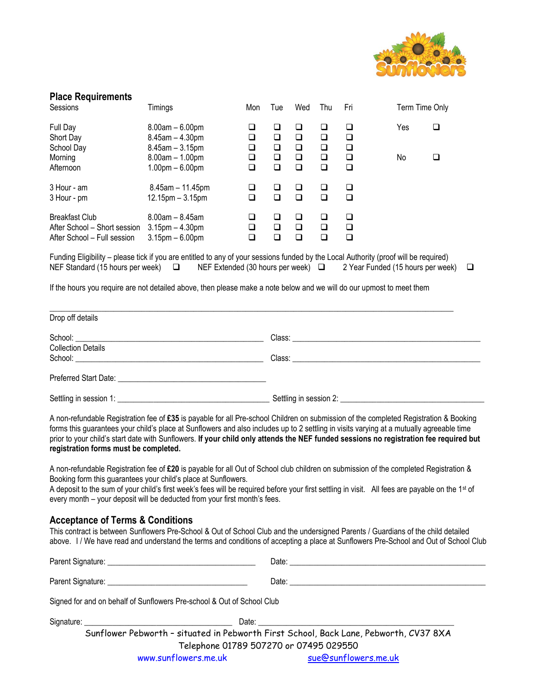

| <b>Place Requirements</b>                                                                                                                                                                                                                            |                                                                                                                  |                                                |                                                |                                           |                                           |                                           |                |        |  |
|------------------------------------------------------------------------------------------------------------------------------------------------------------------------------------------------------------------------------------------------------|------------------------------------------------------------------------------------------------------------------|------------------------------------------------|------------------------------------------------|-------------------------------------------|-------------------------------------------|-------------------------------------------|----------------|--------|--|
| Sessions                                                                                                                                                                                                                                             | Timings                                                                                                          | Mon                                            | Tue                                            | Wed                                       | Thu                                       | Fri                                       | Term Time Only |        |  |
| Full Day<br>Short Day<br>School Day<br>Morning<br>Afternoon                                                                                                                                                                                          | $8.00am - 6.00pm$<br>$8.45$ am $- 4.30$ pm<br>$8.45$ am $-3.15$ pm<br>$8.00am - 1.00pm$<br>$1.00$ pm $- 6.00$ pm | $\Box$<br>$\Box$<br>$\Box$<br>$\Box$<br>$\Box$ | $\Box$<br>$\Box$<br>$\Box$<br>$\Box$<br>$\Box$ | ❏<br>$\Box$<br>$\Box$<br>$\Box$<br>$\Box$ | ❏<br>$\Box$<br>$\Box$<br>$\Box$<br>$\Box$ | ❏<br>$\Box$<br>$\Box$<br>$\Box$<br>$\Box$ | Yes<br>No      | ❏<br>❏ |  |
| 3 Hour - am<br>3 Hour - pm                                                                                                                                                                                                                           | $8.45$ am - 11.45pm<br>$12.15$ pm $-3.15$ pm                                                                     | $\Box$<br>$\Box$                               | $\Box$<br>$\Box$                               | $\Box$<br>$\Box$                          | $\Box$<br>$\Box$                          | $\Box$<br>$\Box$                          |                |        |  |
| <b>Breakfast Club</b><br>After School - Short session 3.15pm - 4.30pm<br>After School - Full session                                                                                                                                                 | $8.00$ am $- 8.45$ am<br>$3.15$ pm $-6.00$ pm                                                                    | $\Box$<br>$\Box$<br>$\Box$                     | ❏<br>$\Box$<br>$\Box$                          | $\Box$<br>$\Box$<br>$\Box$                | ❏<br>$\Box$<br>$\Box$                     | $\Box$<br>$\Box$<br>$\Box$                |                |        |  |
| Funding Eligibility – please tick if you are entitled to any of your sessions funded by the Local Authority (proof will be required)<br>NEF Standard (15 hours per week) □ NEF Extended (30 hours per week) □ 2 Year Funded (15 hours per week)<br>□ |                                                                                                                  |                                                |                                                |                                           |                                           |                                           |                |        |  |
| If the hours you require are not detailed above, then please make a note below and we will do our upmost to meet them                                                                                                                                |                                                                                                                  |                                                |                                                |                                           |                                           |                                           |                |        |  |
| Drop off details                                                                                                                                                                                                                                     |                                                                                                                  |                                                |                                                |                                           |                                           |                                           |                |        |  |
|                                                                                                                                                                                                                                                      |                                                                                                                  |                                                |                                                |                                           |                                           |                                           |                |        |  |
| <b>Collection Details</b>                                                                                                                                                                                                                            |                                                                                                                  |                                                |                                                |                                           |                                           |                                           |                |        |  |
|                                                                                                                                                                                                                                                      |                                                                                                                  |                                                |                                                |                                           |                                           |                                           |                |        |  |
|                                                                                                                                                                                                                                                      |                                                                                                                  |                                                |                                                |                                           |                                           |                                           |                |        |  |

Settling in session 1: \_\_\_\_\_\_\_\_\_\_\_\_\_\_\_\_\_\_\_\_\_\_\_\_\_\_\_\_\_\_\_\_\_\_\_\_\_\_ Settling in session 2: \_\_\_\_\_\_\_\_\_\_\_\_\_\_\_\_\_\_\_\_\_\_\_\_\_\_\_\_\_\_\_\_\_\_\_\_

A non-refundable Registration fee of **£35** is payable for all Pre-school Children on submission of the completed Registration & Booking forms this guarantees your child's place at Sunflowers and also includes up to 2 settling in visits varying at a mutually agreeable time prior to your child's start date with Sunflowers. **If your child only attends the NEF funded sessions no registration fee required but registration forms must be completed.**

A non-refundable Registration fee of **£20** is payable for all Out of School club children on submission of the completed Registration & Booking form this guarantees your child's place at Sunflowers.

A deposit to the sum of your child's first week's fees will be required before your first settling in visit. All fees are payable on the 1<sup>st</sup> of every month – your deposit will be deducted from your first month's fees.

## **Acceptance of Terms & Conditions**

This contract is between Sunflowers Pre-School & Out of School Club and the undersigned Parents / Guardians of the child detailed above. I / We have read and understand the terms and conditions of accepting a place at Sunflowers Pre-School and Out of School Club

| Signed for and on behalf of Sunflowers Pre-school & Out of School Club                |  |  |  |  |
|---------------------------------------------------------------------------------------|--|--|--|--|
|                                                                                       |  |  |  |  |
| Sunflower Pebworth - situated in Pebworth First School, Back Lane, Pebworth, CV37 8XA |  |  |  |  |
| Telephone 01789 507270 or 07495 029550                                                |  |  |  |  |